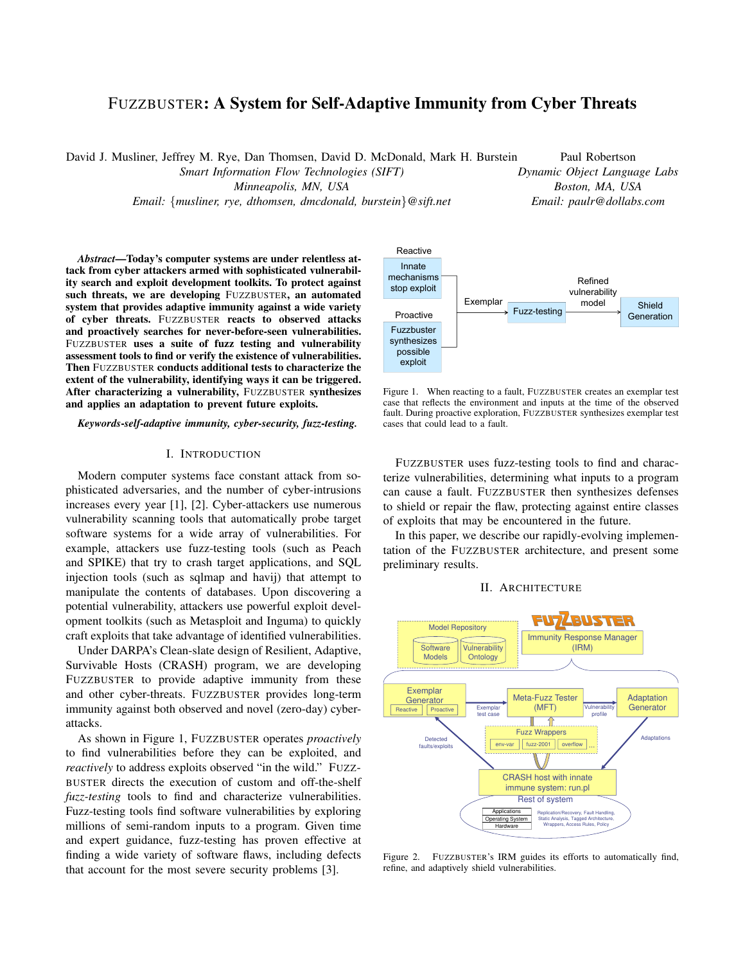# FUZZBUSTER: A System for Self-Adaptive Immunity from Cyber Threats

David J. Musliner, Jeffrey M. Rye, Dan Thomsen, David D. McDonald, Mark H. Burstein

*Smart Information Flow Technologies (SIFT)*

*Minneapolis, MN, USA*

*Email:* {*musliner, rye, dthomsen, dmcdonald, burstein*}*@sift.net*

Paul Robertson *Dynamic Object Language Labs Boston, MA, USA Email: paulr@dollabs.com*

*Abstract*—Today's computer systems are under relentless attack from cyber attackers armed with sophisticated vulnerability search and exploit development toolkits. To protect against such threats, we are developing FUZZBUSTER, an automated system that provides adaptive immunity against a wide variety of cyber threats. FUZZBUSTER reacts to observed attacks and proactively searches for never-before-seen vulnerabilities. FUZZBUSTER uses a suite of fuzz testing and vulnerability assessment tools to find or verify the existence of vulnerabilities. Then FUZZBUSTER conducts additional tests to characterize the extent of the vulnerability, identifying ways it can be triggered. After characterizing a vulnerability, FUZZBUSTER synthesizes and applies an adaptation to prevent future exploits.

#### *Keywords*-*self-adaptive immunity, cyber-security, fuzz-testing.*

### I. INTRODUCTION

Modern computer systems face constant attack from sophisticated adversaries, and the number of cyber-intrusions increases every year [1], [2]. Cyber-attackers use numerous vulnerability scanning tools that automatically probe target software systems for a wide array of vulnerabilities. For example, attackers use fuzz-testing tools (such as Peach and SPIKE) that try to crash target applications, and SQL injection tools (such as sqlmap and havij) that attempt to manipulate the contents of databases. Upon discovering a potential vulnerability, attackers use powerful exploit development toolkits (such as Metasploit and Inguma) to quickly craft exploits that take advantage of identified vulnerabilities.

Under DARPA's Clean-slate design of Resilient, Adaptive, Survivable Hosts (CRASH) program, we are developing FUZZBUSTER to provide adaptive immunity from these and other cyber-threats. FUZZBUSTER provides long-term immunity against both observed and novel (zero-day) cyberattacks.

As shown in Figure 1, FUZZBUSTER operates *proactively* to find vulnerabilities before they can be exploited, and *reactively* to address exploits observed "in the wild." FUZZ-BUSTER directs the execution of custom and off-the-shelf *fuzz-testing* tools to find and characterize vulnerabilities. Fuzz-testing tools find software vulnerabilities by exploring millions of semi-random inputs to a program. Given time and expert guidance, fuzz-testing has proven effective at finding a wide variety of software flaws, including defects that account for the most severe security problems [3].



Figure 1. When reacting to a fault, FUZZBUSTER creates an exemplar test case that reflects the environment and inputs at the time of the observed fault. During proactive exploration, FUZZBUSTER synthesizes exemplar test cases that could lead to a fault.

FUZZBUSTER uses fuzz-testing tools to find and characterize vulnerabilities, determining what inputs to a program can cause a fault. FUZZBUSTER then synthesizes defenses to shield or repair the flaw, protecting against entire classes of exploits that may be encountered in the future.

In this paper, we describe our rapidly-evolving implementation of the FUZZBUSTER architecture, and present some preliminary results.



II. ARCHITECTURE

Figure 2. FUZZBUSTER's IRM guides its efforts to automatically find, refine, and adaptively shield vulnerabilities.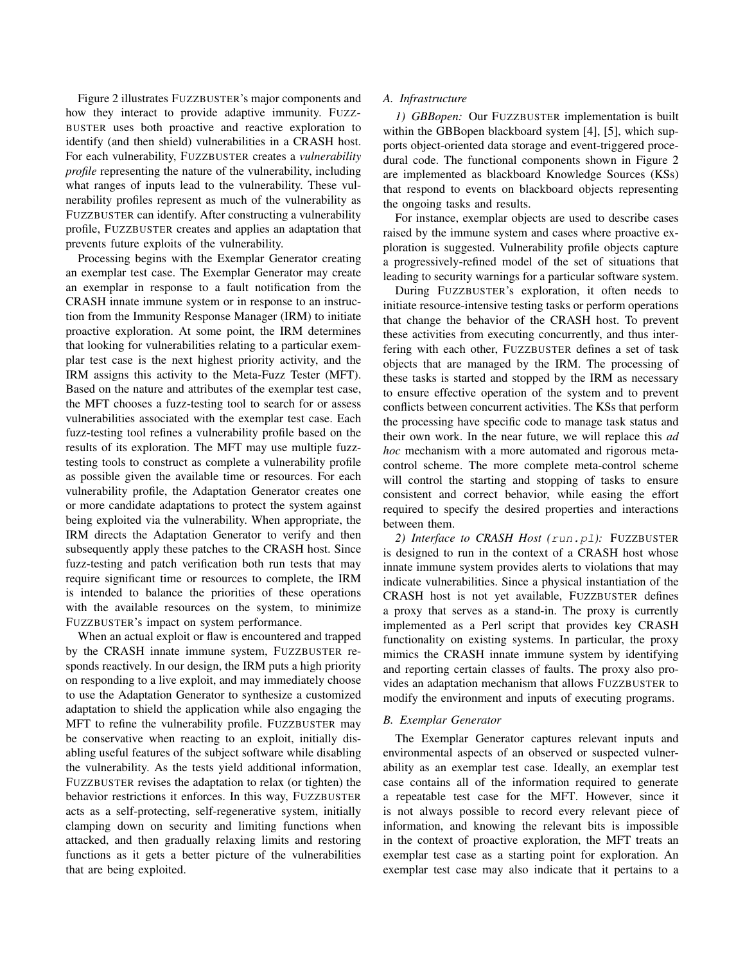Figure 2 illustrates FUZZBUSTER's major components and how they interact to provide adaptive immunity. FUZZ-BUSTER uses both proactive and reactive exploration to identify (and then shield) vulnerabilities in a CRASH host. For each vulnerability, FUZZBUSTER creates a *vulnerability profile* representing the nature of the vulnerability, including what ranges of inputs lead to the vulnerability. These vulnerability profiles represent as much of the vulnerability as FUZZBUSTER can identify. After constructing a vulnerability profile, FUZZBUSTER creates and applies an adaptation that prevents future exploits of the vulnerability.

Processing begins with the Exemplar Generator creating an exemplar test case. The Exemplar Generator may create an exemplar in response to a fault notification from the CRASH innate immune system or in response to an instruction from the Immunity Response Manager (IRM) to initiate proactive exploration. At some point, the IRM determines that looking for vulnerabilities relating to a particular exemplar test case is the next highest priority activity, and the IRM assigns this activity to the Meta-Fuzz Tester (MFT). Based on the nature and attributes of the exemplar test case, the MFT chooses a fuzz-testing tool to search for or assess vulnerabilities associated with the exemplar test case. Each fuzz-testing tool refines a vulnerability profile based on the results of its exploration. The MFT may use multiple fuzztesting tools to construct as complete a vulnerability profile as possible given the available time or resources. For each vulnerability profile, the Adaptation Generator creates one or more candidate adaptations to protect the system against being exploited via the vulnerability. When appropriate, the IRM directs the Adaptation Generator to verify and then subsequently apply these patches to the CRASH host. Since fuzz-testing and patch verification both run tests that may require significant time or resources to complete, the IRM is intended to balance the priorities of these operations with the available resources on the system, to minimize FUZZBUSTER's impact on system performance.

When an actual exploit or flaw is encountered and trapped by the CRASH innate immune system, FUZZBUSTER responds reactively. In our design, the IRM puts a high priority on responding to a live exploit, and may immediately choose to use the Adaptation Generator to synthesize a customized adaptation to shield the application while also engaging the MFT to refine the vulnerability profile. FUZZBUSTER may be conservative when reacting to an exploit, initially disabling useful features of the subject software while disabling the vulnerability. As the tests yield additional information, FUZZBUSTER revises the adaptation to relax (or tighten) the behavior restrictions it enforces. In this way, FUZZBUSTER acts as a self-protecting, self-regenerative system, initially clamping down on security and limiting functions when attacked, and then gradually relaxing limits and restoring functions as it gets a better picture of the vulnerabilities that are being exploited.

## *A. Infrastructure*

*1) GBBopen:* Our FUZZBUSTER implementation is built within the GBBopen blackboard system [4], [5], which supports object-oriented data storage and event-triggered procedural code. The functional components shown in Figure 2 are implemented as blackboard Knowledge Sources (KSs) that respond to events on blackboard objects representing the ongoing tasks and results.

For instance, exemplar objects are used to describe cases raised by the immune system and cases where proactive exploration is suggested. Vulnerability profile objects capture a progressively-refined model of the set of situations that leading to security warnings for a particular software system.

During FUZZBUSTER's exploration, it often needs to initiate resource-intensive testing tasks or perform operations that change the behavior of the CRASH host. To prevent these activities from executing concurrently, and thus interfering with each other, FUZZBUSTER defines a set of task objects that are managed by the IRM. The processing of these tasks is started and stopped by the IRM as necessary to ensure effective operation of the system and to prevent conflicts between concurrent activities. The KSs that perform the processing have specific code to manage task status and their own work. In the near future, we will replace this *ad hoc* mechanism with a more automated and rigorous metacontrol scheme. The more complete meta-control scheme will control the starting and stopping of tasks to ensure consistent and correct behavior, while easing the effort required to specify the desired properties and interactions between them.

*2) Interface to CRASH Host (*run.pl*):* FUZZBUSTER is designed to run in the context of a CRASH host whose innate immune system provides alerts to violations that may indicate vulnerabilities. Since a physical instantiation of the CRASH host is not yet available, FUZZBUSTER defines a proxy that serves as a stand-in. The proxy is currently implemented as a Perl script that provides key CRASH functionality on existing systems. In particular, the proxy mimics the CRASH innate immune system by identifying and reporting certain classes of faults. The proxy also provides an adaptation mechanism that allows FUZZBUSTER to modify the environment and inputs of executing programs.

## *B. Exemplar Generator*

The Exemplar Generator captures relevant inputs and environmental aspects of an observed or suspected vulnerability as an exemplar test case. Ideally, an exemplar test case contains all of the information required to generate a repeatable test case for the MFT. However, since it is not always possible to record every relevant piece of information, and knowing the relevant bits is impossible in the context of proactive exploration, the MFT treats an exemplar test case as a starting point for exploration. An exemplar test case may also indicate that it pertains to a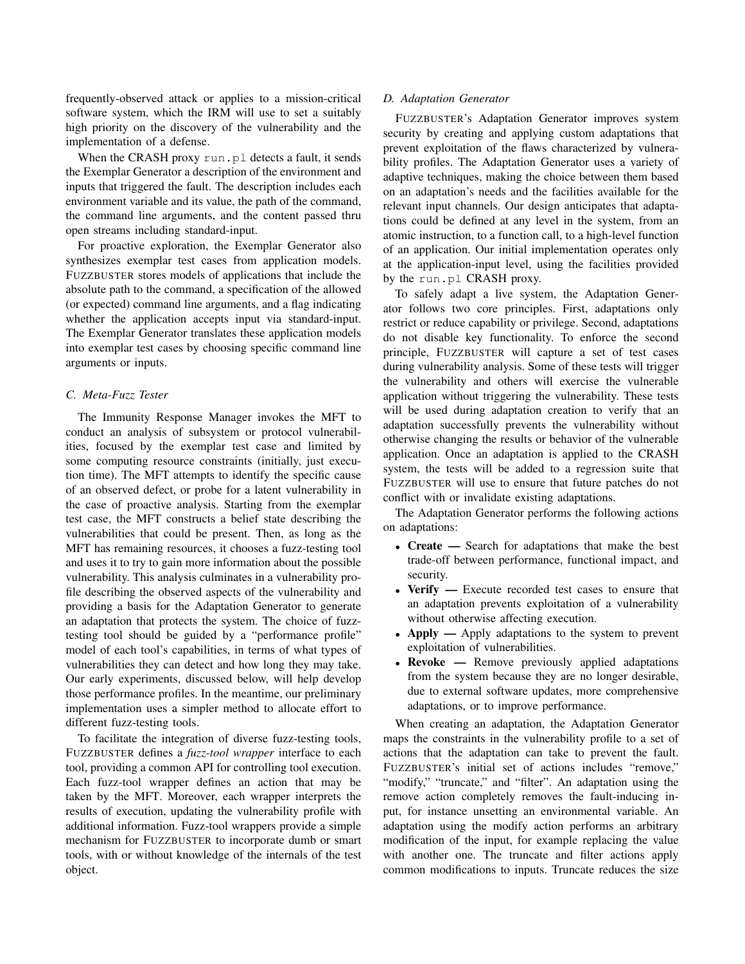frequently-observed attack or applies to a mission-critical software system, which the IRM will use to set a suitably high priority on the discovery of the vulnerability and the implementation of a defense.

When the CRASH proxy run.pl detects a fault, it sends the Exemplar Generator a description of the environment and inputs that triggered the fault. The description includes each environment variable and its value, the path of the command, the command line arguments, and the content passed thru open streams including standard-input.

For proactive exploration, the Exemplar Generator also synthesizes exemplar test cases from application models. FUZZBUSTER stores models of applications that include the absolute path to the command, a specification of the allowed (or expected) command line arguments, and a flag indicating whether the application accepts input via standard-input. The Exemplar Generator translates these application models into exemplar test cases by choosing specific command line arguments or inputs.

# *C. Meta-Fuzz Tester*

The Immunity Response Manager invokes the MFT to conduct an analysis of subsystem or protocol vulnerabilities, focused by the exemplar test case and limited by some computing resource constraints (initially, just execution time). The MFT attempts to identify the specific cause of an observed defect, or probe for a latent vulnerability in the case of proactive analysis. Starting from the exemplar test case, the MFT constructs a belief state describing the vulnerabilities that could be present. Then, as long as the MFT has remaining resources, it chooses a fuzz-testing tool and uses it to try to gain more information about the possible vulnerability. This analysis culminates in a vulnerability profile describing the observed aspects of the vulnerability and providing a basis for the Adaptation Generator to generate an adaptation that protects the system. The choice of fuzztesting tool should be guided by a "performance profile" model of each tool's capabilities, in terms of what types of vulnerabilities they can detect and how long they may take. Our early experiments, discussed below, will help develop those performance profiles. In the meantime, our preliminary implementation uses a simpler method to allocate effort to different fuzz-testing tools.

To facilitate the integration of diverse fuzz-testing tools, FUZZBUSTER defines a *fuzz-tool wrapper* interface to each tool, providing a common API for controlling tool execution. Each fuzz-tool wrapper defines an action that may be taken by the MFT. Moreover, each wrapper interprets the results of execution, updating the vulnerability profile with additional information. Fuzz-tool wrappers provide a simple mechanism for FUZZBUSTER to incorporate dumb or smart tools, with or without knowledge of the internals of the test object.

## *D. Adaptation Generator*

FUZZBUSTER's Adaptation Generator improves system security by creating and applying custom adaptations that prevent exploitation of the flaws characterized by vulnerability profiles. The Adaptation Generator uses a variety of adaptive techniques, making the choice between them based on an adaptation's needs and the facilities available for the relevant input channels. Our design anticipates that adaptations could be defined at any level in the system, from an atomic instruction, to a function call, to a high-level function of an application. Our initial implementation operates only at the application-input level, using the facilities provided by the run.pl CRASH proxy.

To safely adapt a live system, the Adaptation Generator follows two core principles. First, adaptations only restrict or reduce capability or privilege. Second, adaptations do not disable key functionality. To enforce the second principle, FUZZBUSTER will capture a set of test cases during vulnerability analysis. Some of these tests will trigger the vulnerability and others will exercise the vulnerable application without triggering the vulnerability. These tests will be used during adaptation creation to verify that an adaptation successfully prevents the vulnerability without otherwise changing the results or behavior of the vulnerable application. Once an adaptation is applied to the CRASH system, the tests will be added to a regression suite that FUZZBUSTER will use to ensure that future patches do not conflict with or invalidate existing adaptations.

The Adaptation Generator performs the following actions on adaptations:

- Create Search for adaptations that make the best trade-off between performance, functional impact, and security.
- Verify Execute recorded test cases to ensure that an adaptation prevents exploitation of a vulnerability without otherwise affecting execution.
- Apply Apply adaptations to the system to prevent exploitation of vulnerabilities.
- Revoke Remove previously applied adaptations from the system because they are no longer desirable, due to external software updates, more comprehensive adaptations, or to improve performance.

When creating an adaptation, the Adaptation Generator maps the constraints in the vulnerability profile to a set of actions that the adaptation can take to prevent the fault. FUZZBUSTER's initial set of actions includes "remove," "modify," "truncate," and "filter". An adaptation using the remove action completely removes the fault-inducing input, for instance unsetting an environmental variable. An adaptation using the modify action performs an arbitrary modification of the input, for example replacing the value with another one. The truncate and filter actions apply common modifications to inputs. Truncate reduces the size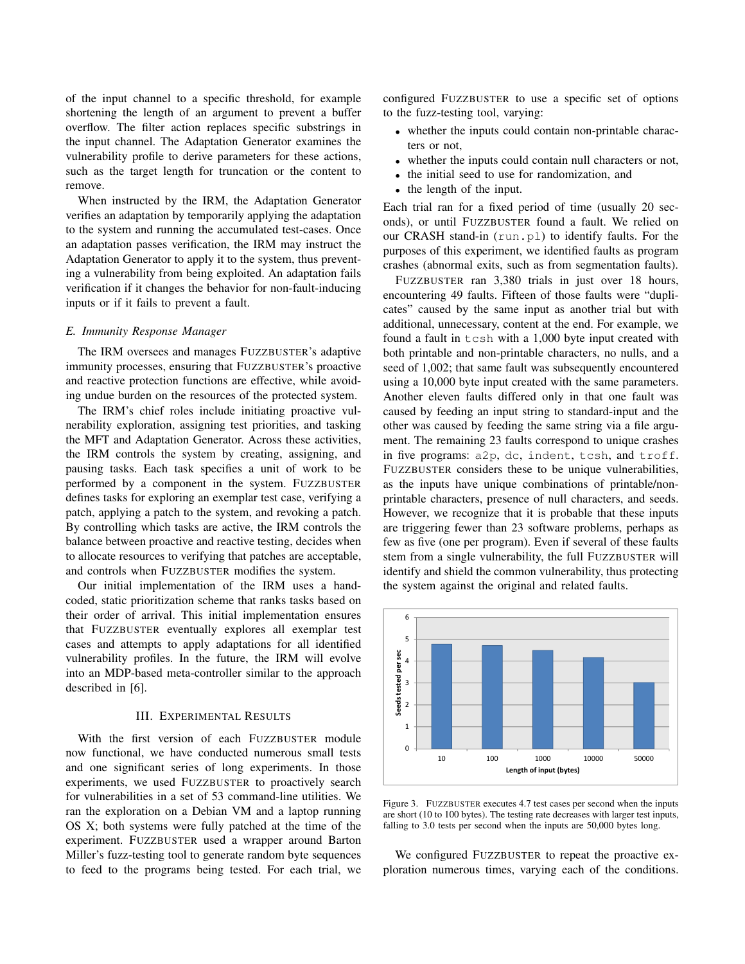of the input channel to a specific threshold, for example shortening the length of an argument to prevent a buffer overflow. The filter action replaces specific substrings in the input channel. The Adaptation Generator examines the vulnerability profile to derive parameters for these actions, such as the target length for truncation or the content to remove.

When instructed by the IRM, the Adaptation Generator verifies an adaptation by temporarily applying the adaptation to the system and running the accumulated test-cases. Once an adaptation passes verification, the IRM may instruct the Adaptation Generator to apply it to the system, thus preventing a vulnerability from being exploited. An adaptation fails verification if it changes the behavior for non-fault-inducing inputs or if it fails to prevent a fault.

## *E. Immunity Response Manager*

The IRM oversees and manages FUZZBUSTER's adaptive immunity processes, ensuring that FUZZBUSTER's proactive and reactive protection functions are effective, while avoiding undue burden on the resources of the protected system.

The IRM's chief roles include initiating proactive vulnerability exploration, assigning test priorities, and tasking the MFT and Adaptation Generator. Across these activities, the IRM controls the system by creating, assigning, and pausing tasks. Each task specifies a unit of work to be performed by a component in the system. FUZZBUSTER defines tasks for exploring an exemplar test case, verifying a patch, applying a patch to the system, and revoking a patch. By controlling which tasks are active, the IRM controls the balance between proactive and reactive testing, decides when to allocate resources to verifying that patches are acceptable, and controls when FUZZBUSTER modifies the system.

Our initial implementation of the IRM uses a handcoded, static prioritization scheme that ranks tasks based on their order of arrival. This initial implementation ensures that FUZZBUSTER eventually explores all exemplar test cases and attempts to apply adaptations for all identified vulnerability profiles. In the future, the IRM will evolve into an MDP-based meta-controller similar to the approach described in [6].

#### III. EXPERIMENTAL RESULTS

With the first version of each FUZZBUSTER module now functional, we have conducted numerous small tests and one significant series of long experiments. In those experiments, we used FUZZBUSTER to proactively search for vulnerabilities in a set of 53 command-line utilities. We ran the exploration on a Debian VM and a laptop running OS X; both systems were fully patched at the time of the experiment. FUZZBUSTER used a wrapper around Barton Miller's fuzz-testing tool to generate random byte sequences to feed to the programs being tested. For each trial, we configured FUZZBUSTER to use a specific set of options to the fuzz-testing tool, varying:

- whether the inputs could contain non-printable characters or not,
- whether the inputs could contain null characters or not,
- the initial seed to use for randomization, and
- the length of the input.

Each trial ran for a fixed period of time (usually 20 seconds), or until FUZZBUSTER found a fault. We relied on our CRASH stand-in (run.pl) to identify faults. For the purposes of this experiment, we identified faults as program crashes (abnormal exits, such as from segmentation faults).

FUZZBUSTER ran 3,380 trials in just over 18 hours, encountering 49 faults. Fifteen of those faults were "duplicates" caused by the same input as another trial but with additional, unnecessary, content at the end. For example, we found a fault in tcsh with a 1,000 byte input created with both printable and non-printable characters, no nulls, and a seed of 1,002; that same fault was subsequently encountered using a 10,000 byte input created with the same parameters. Another eleven faults differed only in that one fault was caused by feeding an input string to standard-input and the other was caused by feeding the same string via a file argument. The remaining 23 faults correspond to unique crashes in five programs: a2p, dc, indent, tcsh, and troff. FUZZBUSTER considers these to be unique vulnerabilities, as the inputs have unique combinations of printable/nonprintable characters, presence of null characters, and seeds. However, we recognize that it is probable that these inputs are triggering fewer than 23 software problems, perhaps as few as five (one per program). Even if several of these faults stem from a single vulnerability, the full FUZZBUSTER will identify and shield the common vulnerability, thus protecting the system against the original and related faults.



Figure 3. FUZZBUSTER executes 4.7 test cases per second when the inputs are short (10 to 100 bytes). The testing rate decreases with larger test inputs, falling to 3.0 tests per second when the inputs are 50,000 bytes long.

We configured FUZZBUSTER to repeat the proactive exploration numerous times, varying each of the conditions.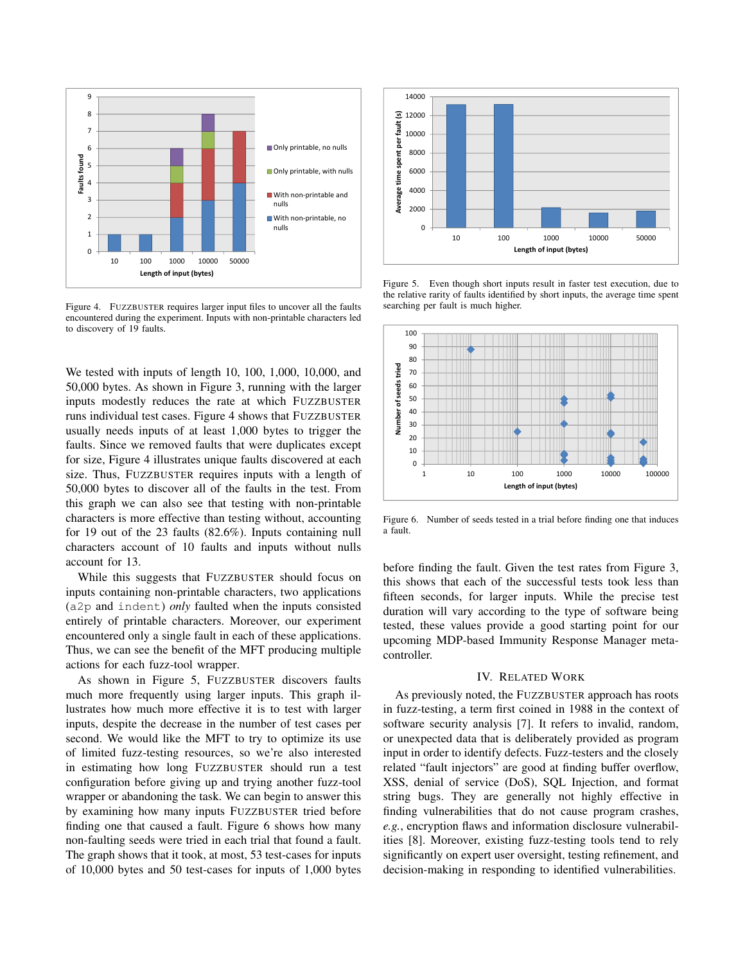

Figure 4. FUZZBUSTER requires larger input files to uncover all the faults encountered during the experiment. Inputs with non-printable characters led to discovery of 19 faults.

We tested with inputs of length 10, 100, 1,000, 10,000, and 50,000 bytes. As shown in Figure 3, running with the larger inputs modestly reduces the rate at which FUZZBUSTER runs individual test cases. Figure 4 shows that FUZZBUSTER usually needs inputs of at least 1,000 bytes to trigger the faults. Since we removed faults that were duplicates except for size, Figure 4 illustrates unique faults discovered at each size. Thus, FUZZBUSTER requires inputs with a length of 50,000 bytes to discover all of the faults in the test. From this graph we can also see that testing with non-printable characters is more effective than testing without, accounting for 19 out of the 23 faults (82.6%). Inputs containing null characters account of 10 faults and inputs without nulls account for 13.

While this suggests that FUZZBUSTER should focus on inputs containing non-printable characters, two applications (a2p and indent) *only* faulted when the inputs consisted entirely of printable characters. Moreover, our experiment encountered only a single fault in each of these applications. Thus, we can see the benefit of the MFT producing multiple actions for each fuzz-tool wrapper.

As shown in Figure 5, FUZZBUSTER discovers faults much more frequently using larger inputs. This graph illustrates how much more effective it is to test with larger inputs, despite the decrease in the number of test cases per second. We would like the MFT to try to optimize its use of limited fuzz-testing resources, so we're also interested in estimating how long FUZZBUSTER should run a test configuration before giving up and trying another fuzz-tool wrapper or abandoning the task. We can begin to answer this by examining how many inputs FUZZBUSTER tried before finding one that caused a fault. Figure 6 shows how many non-faulting seeds were tried in each trial that found a fault. The graph shows that it took, at most, 53 test-cases for inputs of 10,000 bytes and 50 test-cases for inputs of 1,000 bytes



Figure 5. Even though short inputs result in faster test execution, due to the relative rarity of faults identified by short inputs, the average time spent searching per fault is much higher.



Figure 6. Number of seeds tested in a trial before finding one that induces a fault.

before finding the fault. Given the test rates from Figure 3, this shows that each of the successful tests took less than fifteen seconds, for larger inputs. While the precise test duration will vary according to the type of software being tested, these values provide a good starting point for our upcoming MDP-based Immunity Response Manager metacontroller.

#### IV. RELATED WORK

As previously noted, the FUZZBUSTER approach has roots in fuzz-testing, a term first coined in 1988 in the context of software security analysis [7]. It refers to invalid, random, or unexpected data that is deliberately provided as program input in order to identify defects. Fuzz-testers and the closely related "fault injectors" are good at finding buffer overflow, XSS, denial of service (DoS), SQL Injection, and format string bugs. They are generally not highly effective in finding vulnerabilities that do not cause program crashes, *e.g.*, encryption flaws and information disclosure vulnerabilities [8]. Moreover, existing fuzz-testing tools tend to rely significantly on expert user oversight, testing refinement, and decision-making in responding to identified vulnerabilities.